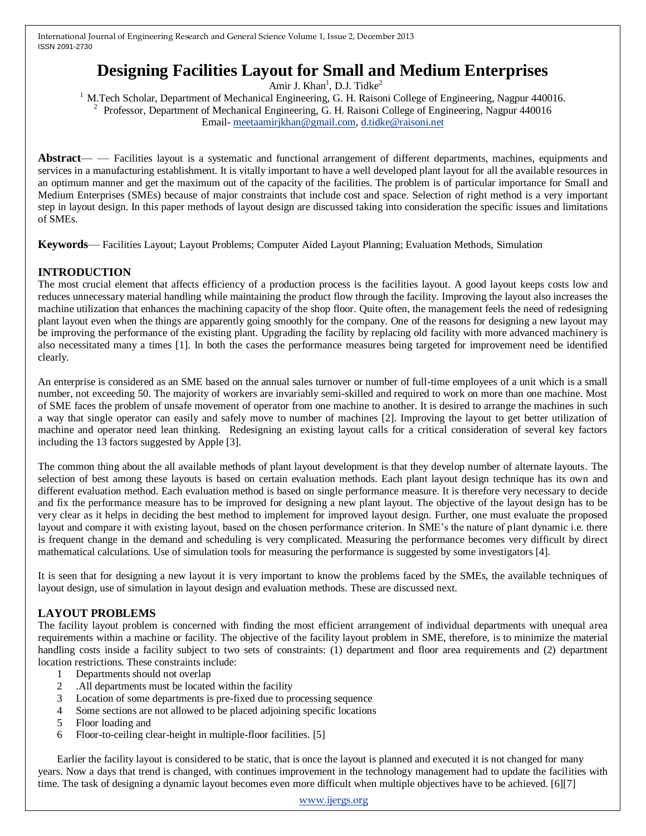# **Designing Facilities Layout for Small and Medium Enterprises**

Amir J. Khan<sup>1</sup>, D.J. Tidke<sup>2</sup>

<sup>1</sup> M.Tech Scholar, Department of Mechanical Engineering, G. H. Raisoni College of Engineering, Nagpur 440016. <sup>2</sup> Professor, Department of Mechanical Engineering, G. H. Raisoni College of Engineering, Nagpur 440016 Email- [meetaamirjkhan@gmail.com,](mailto:meetaamirjkhan@gmail.com) [d.tidke@raisoni.net](mailto:d.tidke@raisoni.net)

**Abstract**— — Facilities layout is a systematic and functional arrangement of different departments, machines, equipments and services in a manufacturing establishment. It is vitally important to have a well developed plant layout for all the available resources in an optimum manner and get the maximum out of the capacity of the facilities. The problem is of particular importance for Small and Medium Enterprises (SMEs) because of major constraints that include cost and space. Selection of right method is a very important step in layout design. In this paper methods of layout design are discussed taking into consideration the specific issues and limitations of SMEs.

**Keywords**— Facilities Layout; Layout Problems; Computer Aided Layout Planning; Evaluation Methods, Simulation

# **INTRODUCTION**

The most crucial element that affects efficiency of a production process is the facilities layout. A good layout keeps costs low and reduces unnecessary material handling while maintaining the product flow through the facility. Improving the layout also increases the machine utilization that enhances the machining capacity of the shop floor. Quite often, the management feels the need of redesigning plant layout even when the things are apparently going smoothly for the company. One of the reasons for designing a new layout may be improving the performance of the existing plant. Upgrading the facility by replacing old facility with more advanced machinery is also necessitated many a times [1]. In both the cases the performance measures being targeted for improvement need be identified clearly.

An enterprise is considered as an SME based on the annual sales turnover or number of full-time employees of a unit which is a small number, not exceeding 50. The majority of workers are invariably semi-skilled and required to work on more than one machine. Most of SME faces the problem of unsafe movement of operator from one machine to another. It is desired to arrange the machines in such a way that single operator can easily and safely move to number of machines [2]. Improving the layout to get better utilization of machine and operator need lean thinking. Redesigning an existing layout calls for a critical consideration of several key factors including the 13 factors suggested by Apple [3].

The common thing about the all available methods of plant layout development is that they develop number of alternate layouts. The selection of best among these layouts is based on certain evaluation methods. Each plant layout design technique has its own and different evaluation method. Each evaluation method is based on single performance measure. It is therefore very necessary to decide and fix the performance measure has to be improved for designing a new plant layout. The objective of the layout design has to be very clear as it helps in deciding the best method to implement for improved layout design. Further, one must evaluate the proposed layout and compare it with existing layout, based on the chosen performance criterion. In SME's the nature of plant dynamic i.e. there is frequent change in the demand and scheduling is very complicated. Measuring the performance becomes very difficult by direct mathematical calculations. Use of simulation tools for measuring the performance is suggested by some investigators [4].

It is seen that for designing a new layout it is very important to know the problems faced by the SMEs, the available techniques of layout design, use of simulation in layout design and evaluation methods. These are discussed next.

# **LAYOUT PROBLEMS**

The facility layout problem is concerned with finding the most efficient arrangement of individual departments with unequal area requirements within a machine or facility. The objective of the facility layout problem in SME, therefore, is to minimize the material handling costs inside a facility subject to two sets of constraints: (1) department and floor area requirements and (2) department location restrictions. These constraints include:

- 1 Departments should not overlap
- 2 .All departments must be located within the facility
- 3 Location of some departments is pre-fixed due to processing sequence
- 4 Some sections are not allowed to be placed adjoining specific locations
- 5 Floor loading and
- 6 Floor-to-ceiling clear-height in multiple-floor facilities. [5]

Earlier the facility layout is considered to be static, that is once the layout is planned and executed it is not changed for many years. Now a days that trend is changed, with continues improvement in the technology management had to update the facilities with time. The task of designing a dynamic layout becomes even more difficult when multiple objectives have to be achieved. [6][7]

[www.ijergs.org](http://www.ijergs.org/)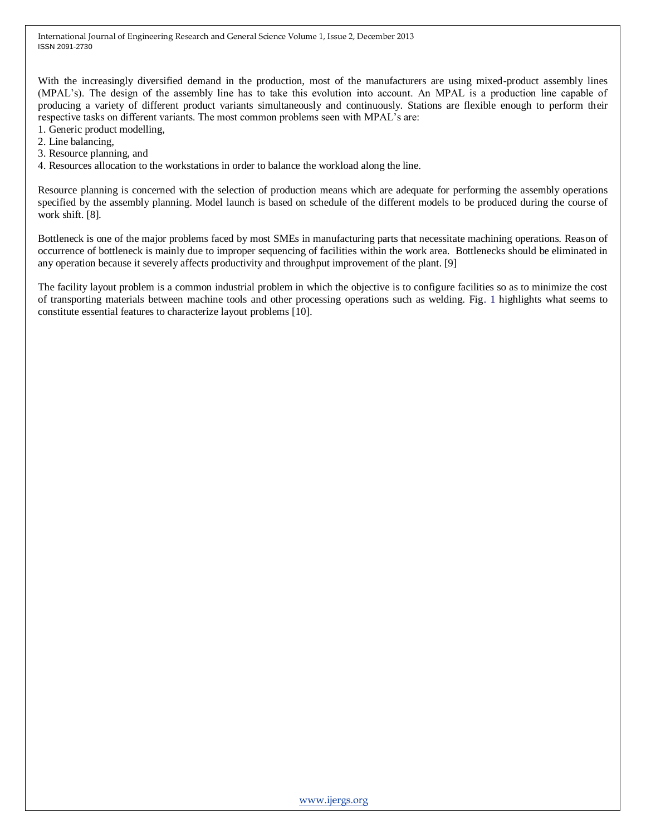With the increasingly diversified demand in the production, most of the manufacturers are using mixed-product assembly lines (MPAL's). The design of the assembly line has to take this evolution into account. An MPAL is a production line capable of producing a variety of different product variants simultaneously and continuously. Stations are flexible enough to perform their respective tasks on different variants. The most common problems seen with MPAL's are:

- 1. Generic product modelling,
- 2. Line balancing,
- 3. Resource planning, and
- 4. Resources allocation to the workstations in order to balance the workload along the line.

Resource planning is concerned with the selection of production means which are adequate for performing the assembly operations specified by the assembly planning. Model launch is based on schedule of the different models to be produced during the course of work shift. [8].

Bottleneck is one of the major problems faced by most SMEs in manufacturing parts that necessitate machining operations. Reason of occurrence of bottleneck is mainly due to improper sequencing of facilities within the work area. Bottlenecks should be eliminated in any operation because it severely affects productivity and throughput improvement of the plant. [9]

The facility layout problem is a common industrial problem in which the objective is to configure facilities so as to minimize the cost of transporting materials between machine tools and other processing operations such as welding. Fig. 1 highlights what seems to constitute essential features to characterize layout problems [10].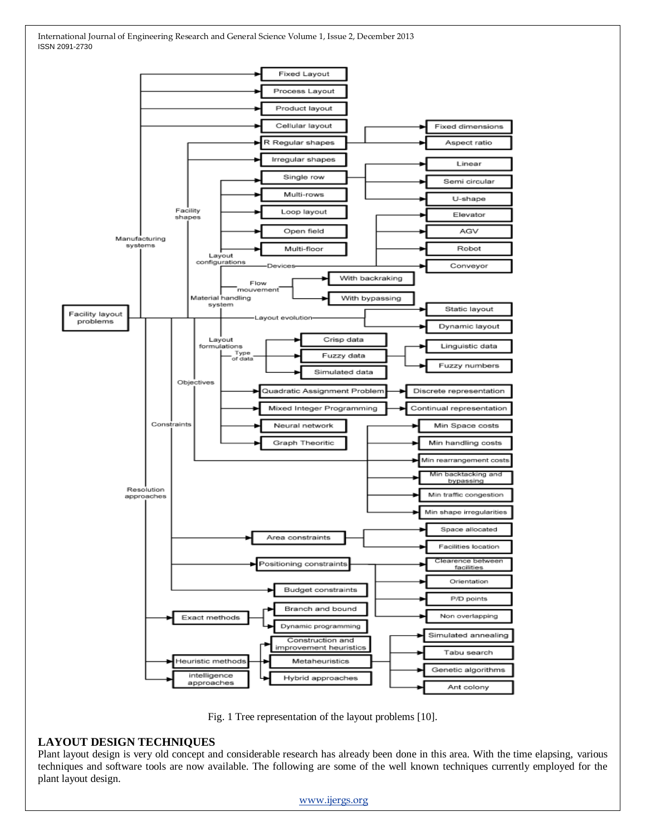

Fig. 1 Tree representation of the layout problems [10].

#### **LAYOUT DESIGN TECHNIQUES**

Plant layout design is very old concept and considerable research has already been done in this area. With the time elapsing, various techniques and software tools are now available. The following are some of the well known techniques currently employed for the plant layout design.

[www.ijergs.org](http://www.ijergs.org/)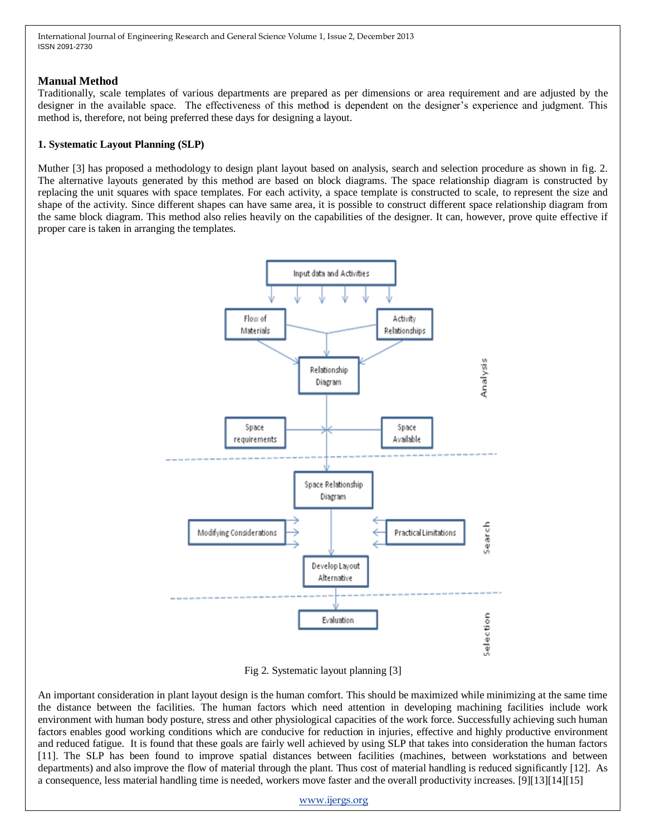#### **Manual Method**

Traditionally, scale templates of various departments are prepared as per dimensions or area requirement and are adjusted by the designer in the available space. The effectiveness of this method is dependent on the designer's experience and judgment. This method is, therefore, not being preferred these days for designing a layout.

#### **1. Systematic Layout Planning (SLP)**

Muther [3] has proposed a methodology to design plant layout based on analysis, search and selection procedure as shown in fig. 2. The alternative layouts generated by this method are based on block diagrams. The space relationship diagram is constructed by replacing the unit squares with space templates. For each activity, a space template is constructed to scale, to represent the size and shape of the activity. Since different shapes can have same area, it is possible to construct different space relationship diagram from the same block diagram. This method also relies heavily on the capabilities of the designer. It can, however, prove quite effective if proper care is taken in arranging the templates.



Fig 2. Systematic layout planning [3]

An important consideration in plant layout design is the human comfort. This should be maximized while minimizing at the same time the distance between the facilities. The human factors which need attention in developing machining facilities include work environment with human body posture, stress and other physiological capacities of the work force. Successfully achieving such human factors enables good working conditions which are conducive for reduction in injuries, effective and highly productive environment and reduced fatigue. It is found that these goals are fairly well achieved by using SLP that takes into consideration the human factors [11]. The SLP has been found to improve spatial distances between facilities (machines, between workstations and between departments) and also improve the flow of material through the plant. Thus cost of material handling is reduced significantly [12]. As a consequence, less material handling time is needed, workers move faster and the overall productivity increases. [9][13][14][15]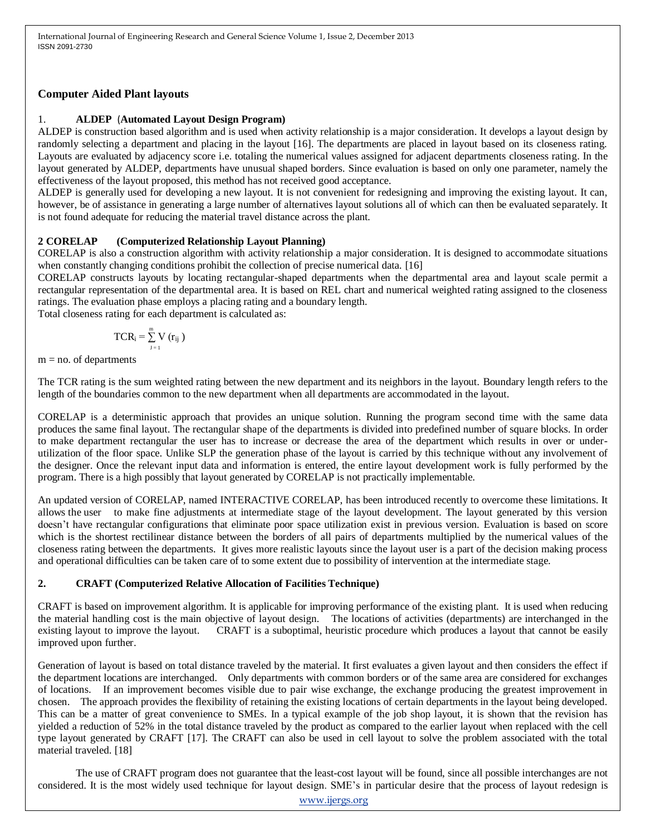## **Computer Aided Plant layouts**

# 1. **ALDEP** (**Automated Layout Design Program)**

ALDEP is construction based algorithm and is used when activity relationship is a major consideration. It develops a layout design by randomly selecting a department and placing in the layout [16]. The departments are placed in layout based on its closeness rating. Layouts are evaluated by adjacency score i.e. totaling the numerical values assigned for adjacent departments closeness rating. In the layout generated by ALDEP, departments have unusual shaped borders. Since evaluation is based on only one parameter, namely the effectiveness of the layout proposed, this method has not received good acceptance.

ALDEP is generally used for developing a new layout. It is not convenient for redesigning and improving the existing layout. It can, however, be of assistance in generating a large number of alternatives layout solutions all of which can then be evaluated separately. It is not found adequate for reducing the material travel distance across the plant.

# **2 CORELAP (Computerized Relationship Layout Planning)**

CORELAP is also a construction algorithm with activity relationship a major consideration. It is designed to accommodate situations when constantly changing conditions prohibit the collection of precise numerical data. [16]

CORELAP constructs layouts by locating rectangular-shaped departments when the departmental area and layout scale permit a rectangular representation of the departmental area. It is based on REL chart and numerical weighted rating assigned to the closeness ratings. The evaluation phase employs a placing rating and a boundary length.

Total closeness rating for each department is calculated as:

$$
TCR_i = \sum_{J=1}^{m} V(r_{ij})
$$

 $m = no$ . of departments

The TCR rating is the sum weighted rating between the new department and its neighbors in the layout. Boundary length refers to the length of the boundaries common to the new department when all departments are accommodated in the layout.

CORELAP is a deterministic approach that provides an unique solution. Running the program second time with the same data produces the same final layout. The rectangular shape of the departments is divided into predefined number of square blocks. In order to make department rectangular the user has to increase or decrease the area of the department which results in over or underutilization of the floor space. Unlike SLP the generation phase of the layout is carried by this technique without any involvement of the designer. Once the relevant input data and information is entered, the entire layout development work is fully performed by the program. There is a high possibly that layout generated by CORELAP is not practically implementable.

An updated version of CORELAP, named INTERACTIVE CORELAP, has been introduced recently to overcome these limitations. It allows the user to make fine adjustments at intermediate stage of the layout development. The layout generated by this version doesn't have rectangular configurations that eliminate poor space utilization exist in previous version. Evaluation is based on score which is the shortest rectilinear distance between the borders of all pairs of departments multiplied by the numerical values of the closeness rating between the departments. It gives more realistic layouts since the layout user is a part of the decision making process and operational difficulties can be taken care of to some extent due to possibility of intervention at the intermediate stage.

# **2. CRAFT (Computerized Relative Allocation of Facilities Technique)**

CRAFT is based on improvement algorithm. It is applicable for improving performance of the existing plant. It is used when reducing the material handling cost is the main objective of layout design. The locations of activities (departments) are interchanged in the existing layout to improve the layout. CRAFT is a suboptimal, heuristic procedure which produces a layout that cannot be easily improved upon further.

Generation of layout is based on total distance traveled by the material. It first evaluates a given layout and then considers the effect if the department locations are interchanged. Only departments with common borders or of the same area are considered for exchanges of locations. If an improvement becomes visible due to pair wise exchange, the exchange producing the greatest improvement in chosen. The approach provides the flexibility of retaining the existing locations of certain departments in the layout being developed. This can be a matter of great convenience to SMEs. In a typical example of the job shop layout, it is shown that the revision has yielded a reduction of 52% in the total distance traveled by the product as compared to the earlier layout when replaced with the cell type layout generated by CRAFT [17]. The CRAFT can also be used in cell layout to solve the problem associated with the total material traveled. [18]

The use of CRAFT program does not guarantee that the least-cost layout will be found, since all possible interchanges are not considered. It is the most widely used technique for layout design. SME's in particular desire that the process of layout redesign is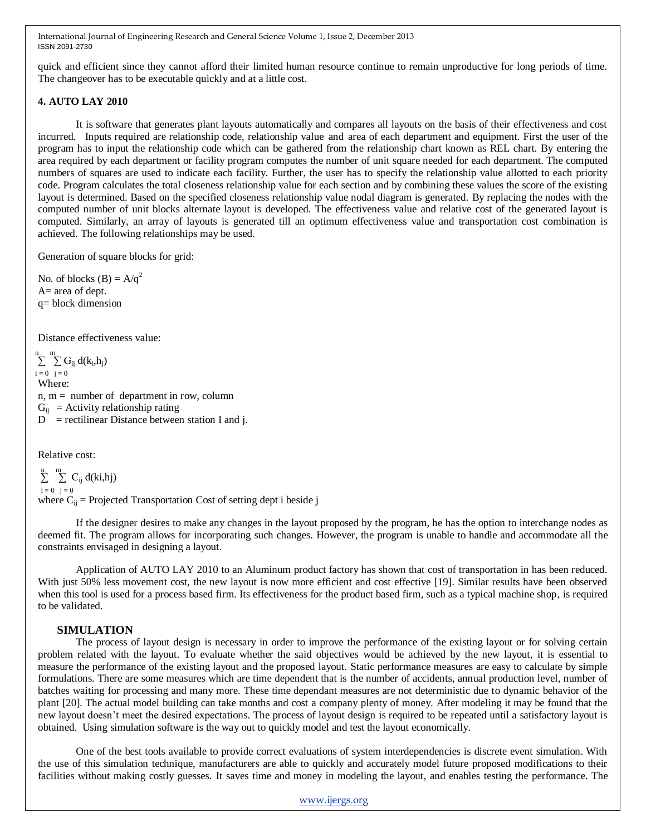quick and efficient since they cannot afford their limited human resource continue to remain unproductive for long periods of time. The changeover has to be executable quickly and at a little cost.

#### **4. AUTO LAY 2010**

It is software that generates plant layouts automatically and compares all layouts on the basis of their effectiveness and cost incurred. Inputs required are relationship code, relationship value and area of each department and equipment. First the user of the program has to input the relationship code which can be gathered from the relationship chart known as REL chart. By entering the area required by each department or facility program computes the number of unit square needed for each department. The computed numbers of squares are used to indicate each facility. Further, the user has to specify the relationship value allotted to each priority code. Program calculates the total closeness relationship value for each section and by combining these values the score of the existing layout is determined. Based on the specified closeness relationship value nodal diagram is generated. By replacing the nodes with the computed number of unit blocks alternate layout is developed. The effectiveness value and relative cost of the generated layout is computed. Similarly, an array of layouts is generated till an optimum effectiveness value and transportation cost combination is achieved. The following relationships may be used.

Generation of square blocks for grid:

No. of blocks  $(B) = A/q^2$ A= area of dept. q= block dimension

Distance effectiveness value:

 $\sum_{i=1}^{m} \sum_{j=1}^{m} G_{ij} d(k_i, h_j)$  $i = 0$   $j = 0$ Where:  $n, m =$  number of department in row, column  $G_{ii}$  = Activity relationship rating  $D$  = rectilinear Distance between station I and j.

Relative cost:

```
\sum_{i=1}^{m} C_{ij} d(ki,hj)
i = 0 j = 0where C_{ij} = Projected Transportation Cost of setting dept i beside j
```
If the designer desires to make any changes in the layout proposed by the program, he has the option to interchange nodes as deemed fit. The program allows for incorporating such changes. However, the program is unable to handle and accommodate all the constraints envisaged in designing a layout.

Application of AUTO LAY 2010 to an Aluminum product factory has shown that cost of transportation in has been reduced. With just 50% less movement cost, the new layout is now more efficient and cost effective [19]. Similar results have been observed when this tool is used for a process based firm. Its effectiveness for the product based firm, such as a typical machine shop, is required to be validated.

## **SIMULATION**

The process of layout design is necessary in order to improve the performance of the existing layout or for solving certain problem related with the layout. To evaluate whether the said objectives would be achieved by the new layout, it is essential to measure the performance of the existing layout and the proposed layout. Static performance measures are easy to calculate by simple formulations. There are some measures which are time dependent that is the number of accidents, annual production level, number of batches waiting for processing and many more. These time dependant measures are not deterministic due to dynamic behavior of the plant [20]. The actual model building can take months and cost a company plenty of money. After modeling it may be found that the new layout doesn't meet the desired expectations. The process of layout design is required to be repeated until a satisfactory layout is obtained. Using simulation software is the way out to quickly model and test the layout economically.

One of the best tools available to provide correct evaluations of system interdependencies is discrete event simulation. With the use of this simulation technique, manufacturers are able to quickly and accurately model future proposed modifications to their facilities without making costly guesses. It saves time and money in modeling the layout, and enables testing the performance. The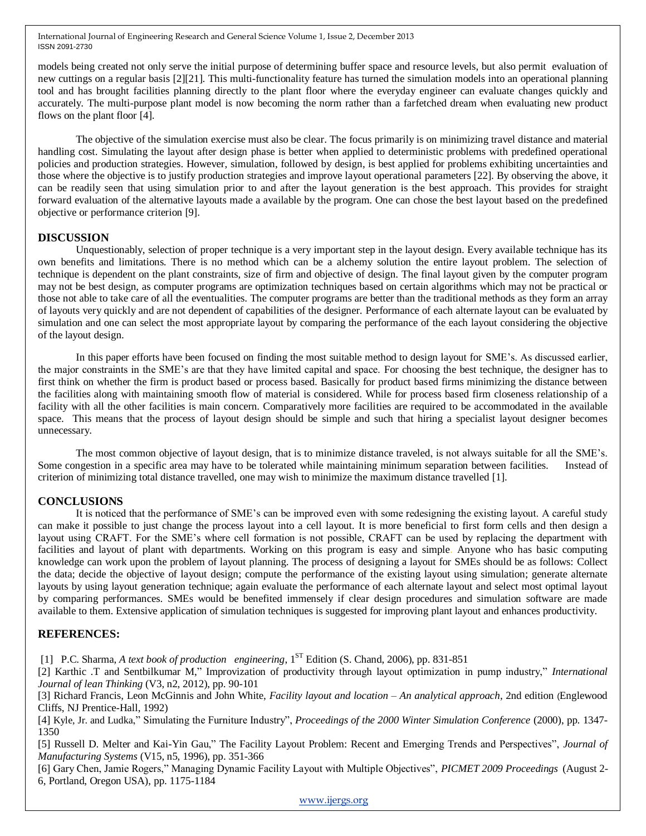models being created not only serve the initial purpose of determining buffer space and resource levels, but also permit evaluation of new cuttings on a regular basis [2][21]. This multi-functionality feature has turned the simulation models into an operational planning tool and has brought facilities planning directly to the plant floor where the everyday engineer can evaluate changes quickly and accurately. The multi-purpose plant model is now becoming the norm rather than a farfetched dream when evaluating new product flows on the plant floor [4].

The objective of the simulation exercise must also be clear. The focus primarily is on minimizing travel distance and material handling cost. Simulating the layout after design phase is better when applied to deterministic problems with predefined operational policies and production strategies. However, simulation, followed by design, is best applied for problems exhibiting uncertainties and those where the objective is to justify production strategies and improve layout operational parameters [22]. By observing the above, it can be readily seen that using simulation prior to and after the layout generation is the best approach. This provides for straight forward evaluation of the alternative layouts made a available by the program. One can chose the best layout based on the predefined objective or performance criterion [9].

## **DISCUSSION**

Unquestionably, selection of proper technique is a very important step in the layout design. Every available technique has its own benefits and limitations. There is no method which can be a alchemy solution the entire layout problem. The selection of technique is dependent on the plant constraints, size of firm and objective of design. The final layout given by the computer program may not be best design, as computer programs are optimization techniques based on certain algorithms which may not be practical or those not able to take care of all the eventualities. The computer programs are better than the traditional methods as they form an array of layouts very quickly and are not dependent of capabilities of the designer. Performance of each alternate layout can be evaluated by simulation and one can select the most appropriate layout by comparing the performance of the each layout considering the objective of the layout design.

In this paper efforts have been focused on finding the most suitable method to design layout for SME's. As discussed earlier, the major constraints in the SME's are that they have limited capital and space. For choosing the best technique, the designer has to first think on whether the firm is product based or process based. Basically for product based firms minimizing the distance between the facilities along with maintaining smooth flow of material is considered. While for process based firm closeness relationship of a facility with all the other facilities is main concern. Comparatively more facilities are required to be accommodated in the available space. This means that the process of layout design should be simple and such that hiring a specialist layout designer becomes unnecessary.

The most common objective of layout design, that is to minimize distance traveled, is not always suitable for all the SME's. Some congestion in a specific area may have to be tolerated while maintaining minimum separation between facilities. Instead of criterion of minimizing total distance travelled, one may wish to minimize the maximum distance travelled [1].

## **CONCLUSIONS**

It is noticed that the performance of SME's can be improved even with some redesigning the existing layout. A careful study can make it possible to just change the process layout into a cell layout. It is more beneficial to first form cells and then design a layout using CRAFT. For the SME's where cell formation is not possible, CRAFT can be used by replacing the department with facilities and layout of plant with departments. Working on this program is easy and simple. Anyone who has basic computing knowledge can work upon the problem of layout planning. The process of designing a layout for SMEs should be as follows: Collect the data; decide the objective of layout design; compute the performance of the existing layout using simulation; generate alternate layouts by using layout generation technique; again evaluate the performance of each alternate layout and select most optimal layout by comparing performances. SMEs would be benefited immensely if clear design procedures and simulation software are made available to them. Extensive application of simulation techniques is suggested for improving plant layout and enhances productivity.

## **REFERENCES:**

[1] P.C. Sharma, *A text book of production engineering*, 1 ST Edition (S. Chand, 2006), pp. 831-851

[2] Karthic .T and Sentbilkumar M," Improvization of productivity through layout optimization in pump industry," *International Journal of lean Thinking* (V3, n2, 2012), pp. 90-101

[3] Richard Francis, Leon McGinnis and John White, *Facility layout and location – An analytical approach*, 2nd edition (Englewood Cliffs, NJ Prentice-Hall, 1992)

[4] Kyle, Jr. and Ludka," Simulating the Furniture Industry", *Proceedings of the 2000 Winter Simulation Conference* (2000), pp. 1347-1350

[5] Russell D. Melter and Kai-Yin Gau," The Facility Layout Problem: Recent and Emerging Trends and Perspectives", *Journal of Manufacturing Systems* (V15, n5, 1996), pp. 351-366

[6] Gary Chen, Jamie Rogers," Managing Dynamic Facility Layout with Multiple Objectives", *PICMET 2009 Proceedings* (August 2-6, Portland, Oregon USA), pp. 1175-1184